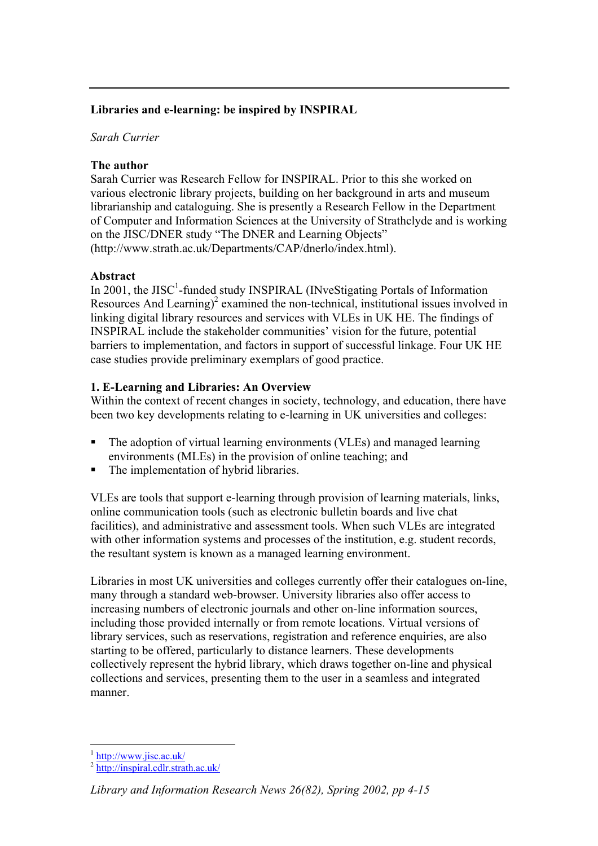### **Libraries and e-learning: be inspired by INSPIRAL**

### *Sarah Currier*

### **The author**

Sarah Currier was Research Fellow for INSPIRAL. Prior to this she worked on various electronic library projects, building on her background in arts and museum librarianship and cataloguing. She is presently a Research Fellow in the Department of Computer and Information Sciences at the University of Strathclyde and is working on the JISC/DNER study "The DNER and Learning Objects" (http://www.strath.ac.uk/Departments/CAP/dnerlo/index.html).

#### **Abstract**

In 2001, the JISC<sup>1</sup>-funded study INSPIRAL (INveStigating Portals of Information Resources And Learning)<sup>[2](#page-0-1)</sup> examined the non-technical, institutional issues involved in linking digital library resources and services with VLEs in UK HE. The findings of INSPIRAL include the stakeholder communities' vision for the future, potential barriers to implementation, and factors in support of successful linkage. Four UK HE case studies provide preliminary exemplars of good practice.

### **1. E-Learning and Libraries: An Overview**

Within the context of recent changes in society, technology, and education, there have been two key developments relating to e-learning in UK universities and colleges:

- The adoption of virtual learning environments (VLEs) and managed learning environments (MLEs) in the provision of online teaching; and
- The implementation of hybrid libraries.

VLEs are tools that support e-learning through provision of learning materials, links, online communication tools (such as electronic bulletin boards and live chat facilities), and administrative and assessment tools. When such VLEs are integrated with other information systems and processes of the institution, e.g. student records, the resultant system is known as a managed learning environment.

Libraries in most UK universities and colleges currently offer their catalogues on-line, many through a standard web-browser. University libraries also offer access to increasing numbers of electronic journals and other on-line information sources, including those provided internally or from remote locations. Virtual versions of library services, such as reservations, registration and reference enquiries, are also starting to be offered, particularly to distance learners. These developments collectively represent the hybrid library, which draws together on-line and physical collections and services, presenting them to the user in a seamless and integrated manner.

 $\overline{a}$ 

<span id="page-0-1"></span><span id="page-0-0"></span> $\frac{1}{2}$  <http://www.jisc.ac.uk/><br> $\frac{1}{2}$  <http://inspiral.cdlr.strath.ac.uk/>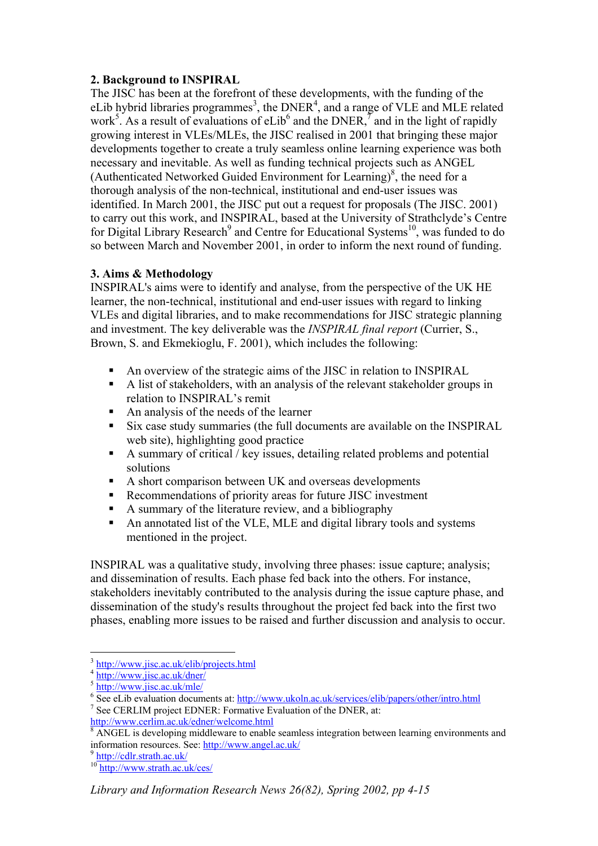### **2. Background to INSPIRAL**

The JISC has been at the forefront of these developments, with the funding of the eLib hybrid libraries programmes<sup>3</sup>[,](#page-1-0) the DNER<sup>4</sup>[,](#page-1-1) and a range of VLE and MLE related work<sup>[5](#page-1-2)</sup>. As a result of evaluations of eLib<sup>[6](#page-1-3)</sup> [a](#page-1-4)nd the DNER,  $\frac{7}{7}$  and in the light of rapidly growing interest in VLEs/MLEs, the JISC realised in 2001 that bringing these major developments together to create a truly seamless online learning experience was both necessary and inevitable. As well as funding technical projects such as ANGEL (Authenticated Networked Guided Environment for Learning) $\delta$ [,](#page-1-5) the need for a thorough analysis of the non-technical, institutional and end-user issues was identified. In March 2001, the JISC put out a request for proposals (The JISC. 2001) to carry out this work, and INSPIRAL, based at the University of Strathclyde's Centre for Digital Library Research<sup>[9](#page-1-6)</sup> and Centre for Educational Systems<sup>10</sup>, was funded to do so between March and November 2001, in order to inform the next round of funding.

### **3. Aims & Methodology**

INSPIRAL's aims were to identify and analyse, from the perspective of the UK HE learner, the non-technical, institutional and end-user issues with regard to linking VLEs and digital libraries, and to make recommendations for JISC strategic planning and investment. The key deliverable was the *INSPIRAL final report* (Currier, S., Brown, S. and Ekmekioglu, F. 2001), which includes the following:

- An overview of the strategic aims of the JISC in relation to INSPIRAL
- A list of stakeholders, with an analysis of the relevant stakeholder groups in relation to INSPIRAL's remit
- An analysis of the needs of the learner
- Six case study summaries (the full documents are available on the INSPIRAL web site), highlighting good practice
- A summary of critical / key issues, detailing related problems and potential solutions
- A short comparison between UK and overseas developments
- Recommendations of priority areas for future JISC investment
- A summary of the literature review, and a bibliography
- An annotated list of the VLE, MLE and digital library tools and systems mentioned in the project.

INSPIRAL was a qualitative study, involving three phases: issue capture; analysis; and dissemination of results. Each phase fed back into the others. For instance, stakeholders inevitably contributed to the analysis during the issue capture phase, and dissemination of the study's results throughout the project fed back into the first two phases, enabling more issues to be raised and further discussion and analysis to occur.

 $\overline{a}$ 

<span id="page-1-0"></span><sup>&</sup>lt;sup>3</sup> <http://www.jisc.ac.uk/elib/projects.html><br>
<sup>4</sup> <http://www.jisc.ac.uk/dner/><br>
<sup>5</sup> http://www.jis<u>c.ac.uk/mle/</u>

<span id="page-1-1"></span>

<span id="page-1-2"></span>

<span id="page-1-3"></span><sup>&</sup>lt;sup>6</sup> See eLib evaluation documents at:<http://www.ukoln.ac.uk/services/elib/papers/other/intro.html>

<span id="page-1-4"></span> $\frac{7}{7}$  See CERLIM project EDNER: Formative Evaluation of the DNER, at: <http://www.cerlim.ac.uk/edner/welcome.html> <sup>8</sup>

<span id="page-1-5"></span><sup>&</sup>lt;sup>8</sup> ANGEL is developing middleware to enable seamless integration between learning environments and information resources. See: <u>http://www.angel.ac.uk/</u><br>
<sup>9</sup> <http://cdlr.strath.ac.uk/><br>
<sup>10</sup> <http://www.strath.ac.uk/ces/>

<span id="page-1-6"></span>

<span id="page-1-7"></span>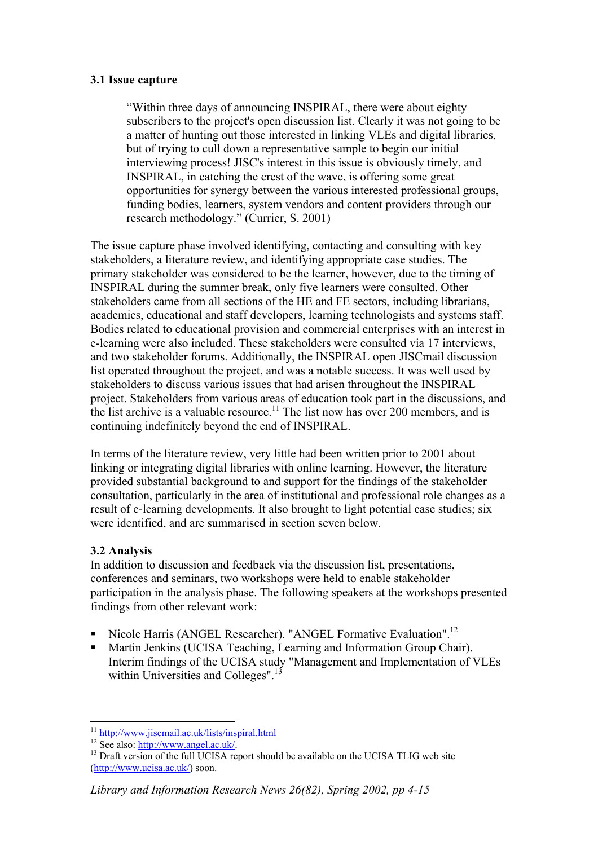### **3.1 Issue capture**

"Within three days of announcing INSPIRAL, there were about eighty subscribers to the project's open discussion list. Clearly it was not going to be a matter of hunting out those interested in linking VLEs and digital libraries, but of trying to cull down a representative sample to begin our initial interviewing process! JISC's interest in this issue is obviously timely, and INSPIRAL, in catching the crest of the wave, is offering some great opportunities for synergy between the various interested professional groups, funding bodies, learners, system vendors and content providers through our research methodology." (Currier, S. 2001)

The issue capture phase involved identifying, contacting and consulting with key stakeholders, a literature review, and identifying appropriate case studies. The primary stakeholder was considered to be the learner, however, due to the timing of INSPIRAL during the summer break, only five learners were consulted. Other stakeholders came from all sections of the HE and FE sectors, including librarians, academics, educational and staff developers, learning technologists and systems staff. Bodies related to educational provision and commercial enterprises with an interest in e-learning were also included. These stakeholders were consulted via 17 interviews, and two stakeholder forums. Additionally, the INSPIRAL open JISCmail discussion list operated throughout the project, and was a notable success. It was well used by stakeholders to discuss various issues that had arisen throughout the INSPIRAL project. Stakeholders from various areas of education took part in the discussions, and the list archive is a valuable resource.<sup>11</sup> The list now has over 200 members, and is continuing indefinitely beyond the end of INSPIRAL.

In terms of the literature review, very little had been written prior to 2001 about linking or integrating digital libraries with online learning. However, the literature provided substantial background to and support for the findings of the stakeholder consultation, particularly in the area of institutional and professional role changes as a result of e-learning developments. It also brought to light potential case studies; six were identified, and are summarised in section seven below.

### **3.2 Analysis**

In addition to discussion and feedback via the discussion list, presentations, conferences and seminars, two workshops were held to enable stakeholder participation in the analysis phase. The following speakers at the workshops presented findings from other relevant work:

- Nicole Harris (ANGEL Researcher). "ANGEL Formative Evaluation".<sup>[12](#page-2-1)</sup>
- Martin Jenkins (UCISA Teaching, Learning and Information Group Chair). Interim findings of the UCISA study "Management and Implementation of VLEs within Universities and Colleges".<sup>[13](#page-2-2)</sup>

<span id="page-2-0"></span><sup>&</sup>lt;sup>11</sup> http://www.jiscmail.ac.uk/lists/inspiral.html

<span id="page-2-2"></span><span id="page-2-1"></span>

<sup>&</sup>lt;sup>12</sup> See also:  $\frac{http://www.angle.uw.ius.us.us.cons.]}{http://www.angle.aux.ius.}$ <br><sup>12</sup> See also: <u>http://www.angel.ac.uk/</u>. [\(http://www.ucisa.ac.uk/\)](http://www.ucisa.ac.uk/) soon.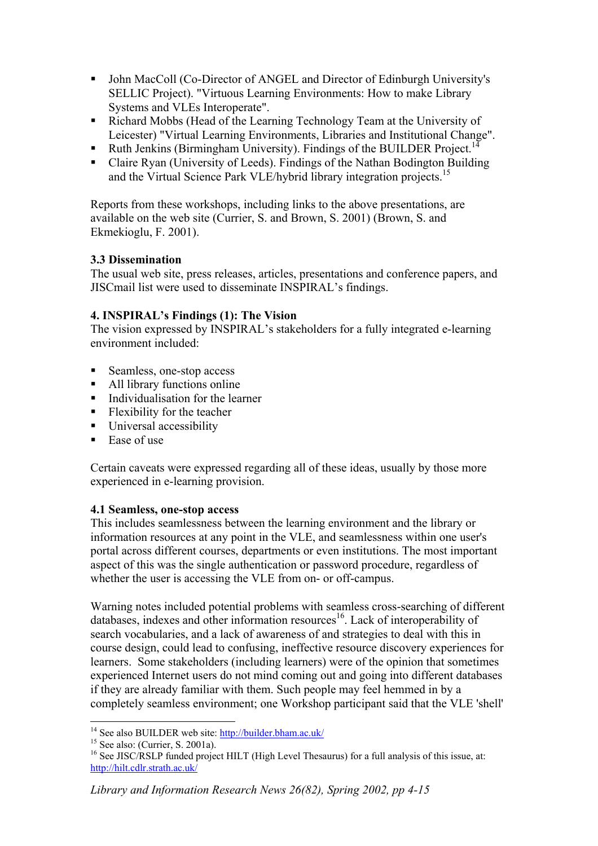- John MacColl (Co-Director of ANGEL and Director of Edinburgh University's SELLIC Project). "Virtuous Learning Environments: How to make Library Systems and VLEs Interoperate".
- Richard Mobbs (Head of the Learning Technology Team at the University of Leicester) "Virtual Learning Environments, Libraries and Institutional Change".
- Ruth Jenkins (Birmingham University). Findings of the BUILDER Project.<sup>[14](#page-3-0)</sup>
- Claire Ryan (University of Leeds). Findings of the Nathan Bodington Building and the Virtual Science Park VLE/hybrid library integration projects.<sup>15</sup>

Reports from these workshops, including links to the above presentations, are available on the web site (Currier, S. and Brown, S. 2001) (Brown, S. and Ekmekioglu, F. 2001).

## **3.3 Dissemination**

The usual web site, press releases, articles, presentations and conference papers, and JISCmail list were used to disseminate INSPIRAL's findings.

# **4. INSPIRAL's Findings (1): The Vision**

The vision expressed by INSPIRAL's stakeholders for a fully integrated e-learning environment included:

- Seamless, one-stop access
- All library functions online
- Individualisation for the learner
- **Flexibility for the teacher**
- **Universal accessibility**
- $\blacksquare$  Ease of use

Certain caveats were expressed regarding all of these ideas, usually by those more experienced in e-learning provision.

# **4.1 Seamless, one-stop access**

This includes seamlessness between the learning environment and the library or information resources at any point in the VLE, and seamlessness within one user's portal across different courses, departments or even institutions. The most important aspect of this was the single authentication or password procedure, regardless of whether the user is accessing the VLE from on- or off-campus.

Warning notes included potential problems with seamless cross-searching of different databases, indexes and other information resources<sup>16</sup>. Lack of interoperability of search vocabularies, and a lack of awareness of and strategies to deal with this in course design, could lead to confusing, ineffective resource discovery experiences for learners. Some stakeholders (including learners) were of the opinion that sometimes experienced Internet users do not mind coming out and going into different databases if they are already familiar with them. Such people may feel hemmed in by a completely seamless environment; one Workshop participant said that the VLE 'shell'

<span id="page-3-0"></span><sup>&</sup>lt;sup>14</sup> See also BUILDER web site: http://builder.bham.ac.uk/

<span id="page-3-2"></span><span id="page-3-1"></span>

<sup>&</sup>lt;sup>15</sup> See also: (Currier, S. 2001a). **14**  $\overline{16}$  See JISC/RSLP funded project HILT (High Level Thesaurus) for a full analysis of this issue, at: <http://hilt.cdlr.strath.ac.uk/>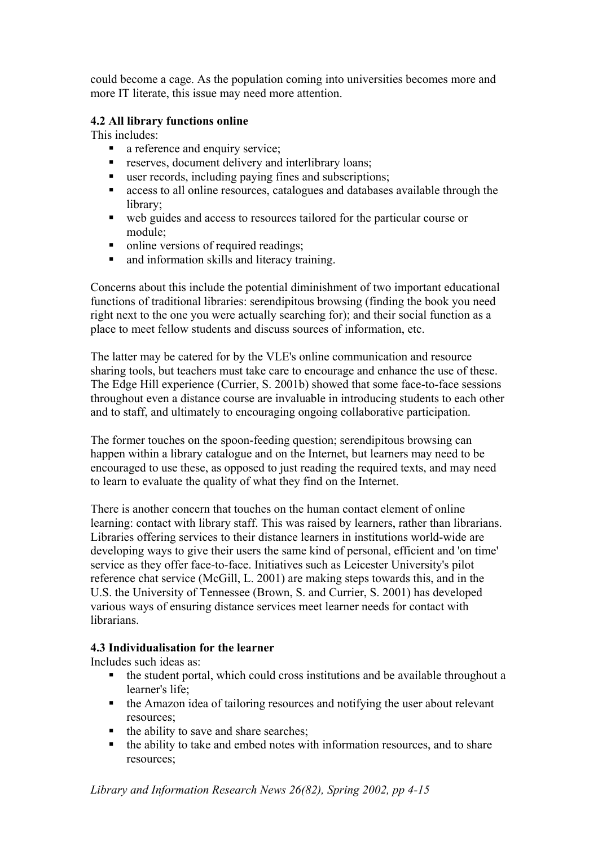could become a cage. As the population coming into universities becomes more and more IT literate, this issue may need more attention.

### **4.2 All library functions online**

This includes:

- a reference and enquiry service;
- **F** reserves, document delivery and interlibrary loans;
- user records, including paying fines and subscriptions;
- access to all online resources, catalogues and databases available through the library;
- web guides and access to resources tailored for the particular course or module;
- online versions of required readings;
- and information skills and literacy training.

Concerns about this include the potential diminishment of two important educational functions of traditional libraries: serendipitous browsing (finding the book you need right next to the one you were actually searching for); and their social function as a place to meet fellow students and discuss sources of information, etc.

The latter may be catered for by the VLE's online communication and resource sharing tools, but teachers must take care to encourage and enhance the use of these. The Edge Hill experience (Currier, S. 2001b) showed that some face-to-face sessions throughout even a distance course are invaluable in introducing students to each other and to staff, and ultimately to encouraging ongoing collaborative participation.

The former touches on the spoon-feeding question; serendipitous browsing can happen within a library catalogue and on the Internet, but learners may need to be encouraged to use these, as opposed to just reading the required texts, and may need to learn to evaluate the quality of what they find on the Internet.

There is another concern that touches on the human contact element of online learning: contact with library staff. This was raised by learners, rather than librarians. Libraries offering services to their distance learners in institutions world-wide are developing ways to give their users the same kind of personal, efficient and 'on time' service as they offer face-to-face. Initiatives such as Leicester University's pilot reference chat service (McGill, L. 2001) are making steps towards this, and in the U.S. the University of Tennessee (Brown, S. and Currier, S. 2001) has developed various ways of ensuring distance services meet learner needs for contact with **librarians** 

### **4.3 Individualisation for the learner**

Includes such ideas as:

- $\bullet$  the student portal, which could cross institutions and be available throughout a learner's life;
- the Amazon idea of tailoring resources and notifying the user about relevant resources;
- $\blacksquare$  the ability to save and share searches;
- the ability to take and embed notes with information resources, and to share resources;

*Library and Information Research News 26(82), Spring 2002, pp 4-15*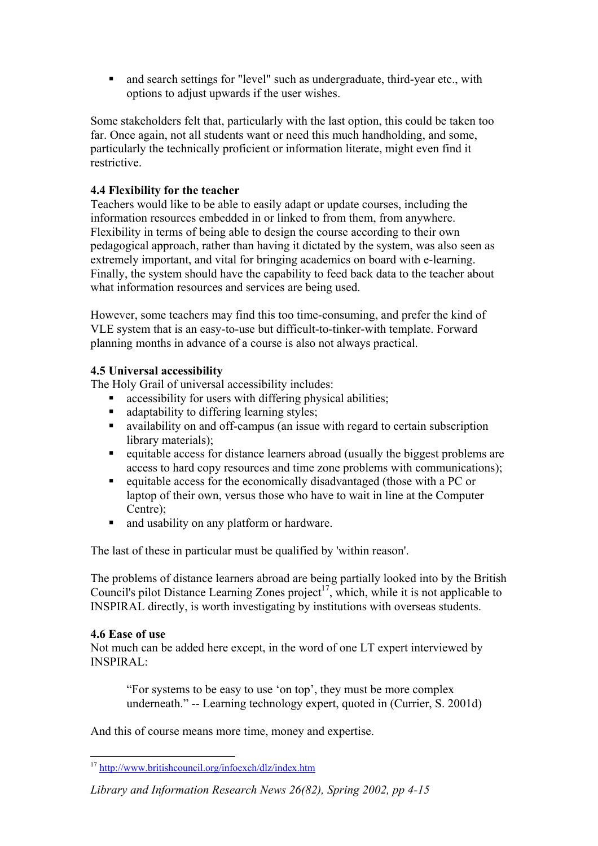and search settings for "level" such as undergraduate, third-year etc., with options to adjust upwards if the user wishes.

Some stakeholders felt that, particularly with the last option, this could be taken too far. Once again, not all students want or need this much handholding, and some, particularly the technically proficient or information literate, might even find it restrictive.

### **4.4 Flexibility for the teacher**

Teachers would like to be able to easily adapt or update courses, including the information resources embedded in or linked to from them, from anywhere. Flexibility in terms of being able to design the course according to their own pedagogical approach, rather than having it dictated by the system, was also seen as extremely important, and vital for bringing academics on board with e-learning. Finally, the system should have the capability to feed back data to the teacher about what information resources and services are being used.

However, some teachers may find this too time-consuming, and prefer the kind of VLE system that is an easy-to-use but difficult-to-tinker-with template. Forward planning months in advance of a course is also not always practical.

### **4.5 Universal accessibility**

The Holy Grail of universal accessibility includes:

- accessibility for users with differing physical abilities;
- adaptability to differing learning styles;
- availability on and off-campus (an issue with regard to certain subscription library materials);
- equitable access for distance learners abroad (usually the biggest problems are access to hard copy resources and time zone problems with communications);
- equitable access for the economically disadvantaged (those with a PC or laptop of their own, versus those who have to wait in line at the Computer Centre);
- and usability on any platform or hardware.

The last of these in particular must be qualified by 'within reason'.

The problems of distance learners abroad are being partially looked into by the British Council's pilot Distance Learning Zones project<sup>17</sup>, which, while it is not applicable to INSPIRAL directly, is worth investigating by institutions with overseas students.

### **4.6 Ease of use**

Not much can be added here except, in the word of one LT expert interviewed by INSPIRAL:

"For systems to be easy to use 'on top', they must be more complex underneath." -- Learning technology expert, quoted in (Currier, S. 2001d)

And this of course means more time, money and expertise.

<span id="page-5-0"></span> $\overline{a}$ <sup>17</sup> <http://www.britishcouncil.org/infoexch/dlz/index.htm>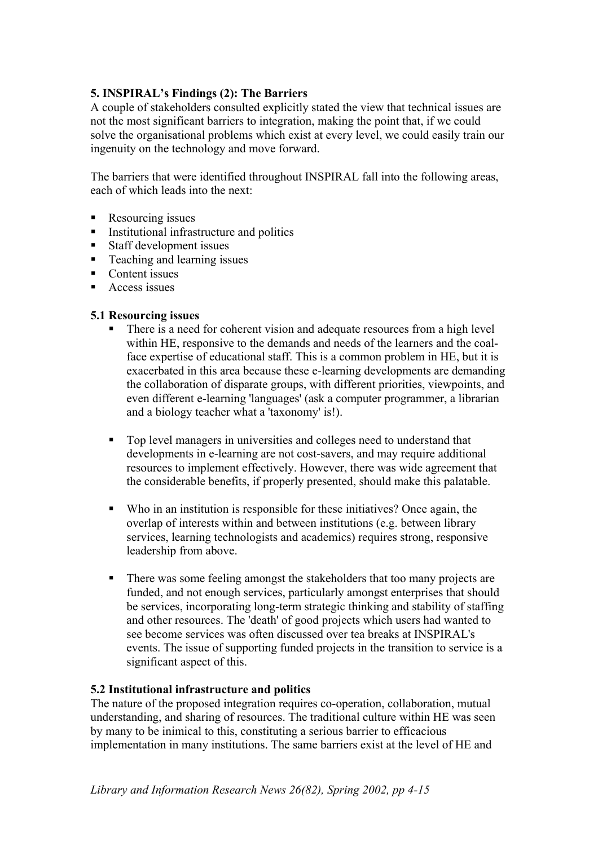### **5. INSPIRAL's Findings (2): The Barriers**

A couple of stakeholders consulted explicitly stated the view that technical issues are not the most significant barriers to integration, making the point that, if we could solve the organisational problems which exist at every level, we could easily train our ingenuity on the technology and move forward.

The barriers that were identified throughout INSPIRAL fall into the following areas, each of which leads into the next:

- Resourcing issues
- **Institutional infrastructure and politics**
- Staff development issues
- **Teaching and learning issues**
- Content issues
- Access issues

### **5.1 Resourcing issues**

- There is a need for coherent vision and adequate resources from a high level within HE, responsive to the demands and needs of the learners and the coalface expertise of educational staff. This is a common problem in HE, but it is exacerbated in this area because these e-learning developments are demanding the collaboration of disparate groups, with different priorities, viewpoints, and even different e-learning 'languages' (ask a computer programmer, a librarian and a biology teacher what a 'taxonomy' is!).
- Top level managers in universities and colleges need to understand that developments in e-learning are not cost-savers, and may require additional resources to implement effectively. However, there was wide agreement that the considerable benefits, if properly presented, should make this palatable.
- Who in an institution is responsible for these initiatives? Once again, the overlap of interests within and between institutions (e.g. between library services, learning technologists and academics) requires strong, responsive leadership from above.
- There was some feeling amongst the stakeholders that too many projects are funded, and not enough services, particularly amongst enterprises that should be services, incorporating long-term strategic thinking and stability of staffing and other resources. The 'death' of good projects which users had wanted to see become services was often discussed over tea breaks at INSPIRAL's events. The issue of supporting funded projects in the transition to service is a significant aspect of this.

### **5.2 Institutional infrastructure and politics**

The nature of the proposed integration requires co-operation, collaboration, mutual understanding, and sharing of resources. The traditional culture within HE was seen by many to be inimical to this, constituting a serious barrier to efficacious implementation in many institutions. The same barriers exist at the level of HE and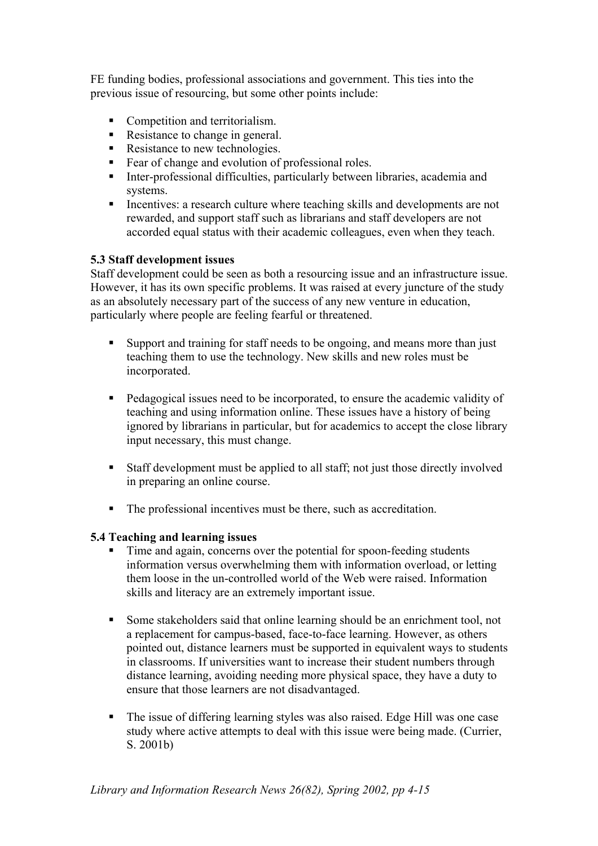FE funding bodies, professional associations and government. This ties into the previous issue of resourcing, but some other points include:

- Competition and territorialism.
- Resistance to change in general.
- Resistance to new technologies.
- Fear of change and evolution of professional roles.<br>Inter-professional difficulties, particularly between
- Inter-professional difficulties, particularly between libraries, academia and systems.
- Incentives: a research culture where teaching skills and developments are not rewarded, and support staff such as librarians and staff developers are not accorded equal status with their academic colleagues, even when they teach.

### **5.3 Staff development issues**

Staff development could be seen as both a resourcing issue and an infrastructure issue. However, it has its own specific problems. It was raised at every juncture of the study as an absolutely necessary part of the success of any new venture in education, particularly where people are feeling fearful or threatened.

- Support and training for staff needs to be ongoing, and means more than just teaching them to use the technology. New skills and new roles must be incorporated.
- Pedagogical issues need to be incorporated, to ensure the academic validity of teaching and using information online. These issues have a history of being ignored by librarians in particular, but for academics to accept the close library input necessary, this must change.
- Staff development must be applied to all staff; not just those directly involved in preparing an online course.
- The professional incentives must be there, such as accreditation.

### **5.4 Teaching and learning issues**

- Time and again, concerns over the potential for spoon-feeding students information versus overwhelming them with information overload, or letting them loose in the un-controlled world of the Web were raised. Information skills and literacy are an extremely important issue.
- Some stakeholders said that online learning should be an enrichment tool, not a replacement for campus-based, face-to-face learning. However, as others pointed out, distance learners must be supported in equivalent ways to students in classrooms. If universities want to increase their student numbers through distance learning, avoiding needing more physical space, they have a duty to ensure that those learners are not disadvantaged.
- The issue of differing learning styles was also raised. Edge Hill was one case study where active attempts to deal with this issue were being made. (Currier, S. 2001b)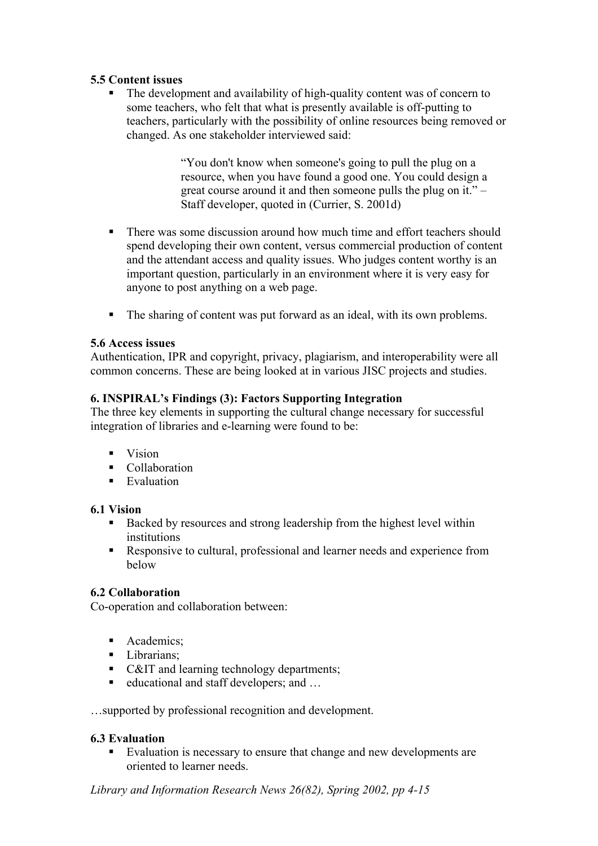### **5.5 Content issues**

 The development and availability of high-quality content was of concern to some teachers, who felt that what is presently available is off-putting to teachers, particularly with the possibility of online resources being removed or changed. As one stakeholder interviewed said:

> "You don't know when someone's going to pull the plug on a resource, when you have found a good one. You could design a great course around it and then someone pulls the plug on it." – Staff developer, quoted in (Currier, S. 2001d)

- There was some discussion around how much time and effort teachers should spend developing their own content, versus commercial production of content and the attendant access and quality issues. Who judges content worthy is an important question, particularly in an environment where it is very easy for anyone to post anything on a web page.
- The sharing of content was put forward as an ideal, with its own problems.

### **5.6 Access issues**

Authentication, IPR and copyright, privacy, plagiarism, and interoperability were all common concerns. These are being looked at in various JISC projects and studies.

### **6. INSPIRAL's Findings (3): Factors Supporting Integration**

The three key elements in supporting the cultural change necessary for successful integration of libraries and e-learning were found to be:

- $\blacksquare$  Vision
- Collaboration
- $\blacksquare$  Evaluation

### **6.1 Vision**

- Backed by resources and strong leadership from the highest level within institutions
- Responsive to cultural, professional and learner needs and experience from below

### **6.2 Collaboration**

Co-operation and collaboration between:

- Academics:
- Librarians:
- C&IT and learning technology departments;
- educational and staff developers; and ...

…supported by professional recognition and development.

### **6.3 Evaluation**

Evaluation is necessary to ensure that change and new developments are oriented to learner needs.

*Library and Information Research News 26(82), Spring 2002, pp 4-15*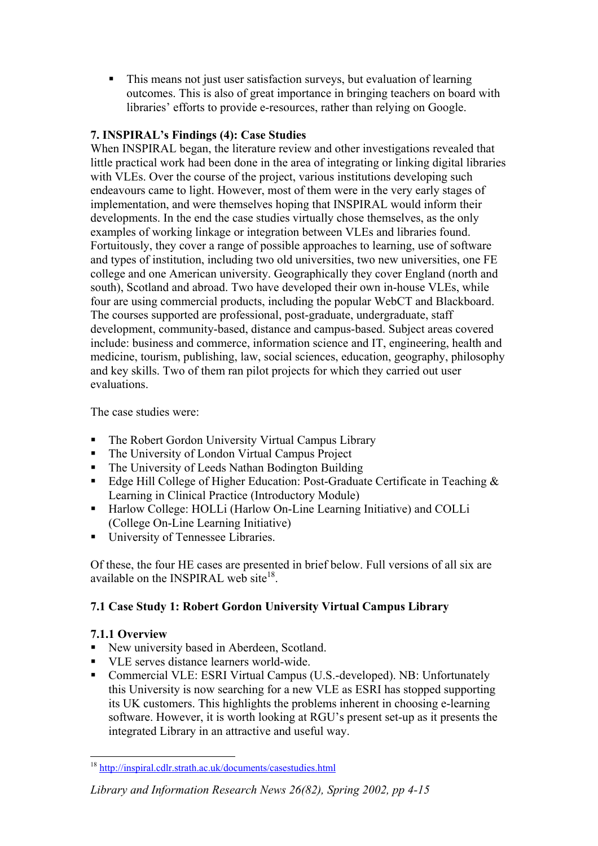This means not just user satisfaction surveys, but evaluation of learning outcomes. This is also of great importance in bringing teachers on board with libraries' efforts to provide e-resources, rather than relying on Google.

## **7. INSPIRAL's Findings (4): Case Studies**

When INSPIRAL began, the literature review and other investigations revealed that little practical work had been done in the area of integrating or linking digital libraries with VLEs. Over the course of the project, various institutions developing such endeavours came to light. However, most of them were in the very early stages of implementation, and were themselves hoping that INSPIRAL would inform their developments. In the end the case studies virtually chose themselves, as the only examples of working linkage or integration between VLEs and libraries found. Fortuitously, they cover a range of possible approaches to learning, use of software and types of institution, including two old universities, two new universities, one FE college and one American university. Geographically they cover England (north and south), Scotland and abroad. Two have developed their own in-house VLEs, while four are using commercial products, including the popular WebCT and Blackboard. The courses supported are professional, post-graduate, undergraduate, staff development, community-based, distance and campus-based. Subject areas covered include: business and commerce, information science and IT, engineering, health and medicine, tourism, publishing, law, social sciences, education, geography, philosophy and key skills. Two of them ran pilot projects for which they carried out user evaluations.

The case studies were:

- The Robert Gordon University Virtual Campus Library
- The University of London Virtual Campus Project
- The University of Leeds Nathan Bodington Building
- Edge Hill College of Higher Education: Post-Graduate Certificate in Teaching  $\&$ Learning in Clinical Practice (Introductory Module)
- Harlow College: HOLLi (Harlow On-Line Learning Initiative) and COLLi (College On-Line Learning Initiative)
- University of Tennessee Libraries.

Of these, the four HE cases are presented in brief below. Full versions of all six are available on the INSPIRAL web site<sup>18</sup>

# **7.1 Case Study 1: Robert Gordon University Virtual Campus Library**

## **7.1.1 Overview**

- New university based in Aberdeen, Scotland.
- VLE serves distance learners world-wide.
- Commercial VLE: ESRI Virtual Campus (U.S.-developed). NB: Unfortunately this University is now searching for a new VLE as ESRI has stopped supporting its UK customers. This highlights the problems inherent in choosing e-learning software. However, it is worth looking at RGU's present set-up as it presents the integrated Library in an attractive and useful way.

## *Library and Information Research News 26(82), Spring 2002, pp 4-15*

<span id="page-9-0"></span> $\overline{a}$ <sup>18</sup> <http://inspiral.cdlr.strath.ac.uk/documents/casestudies.html>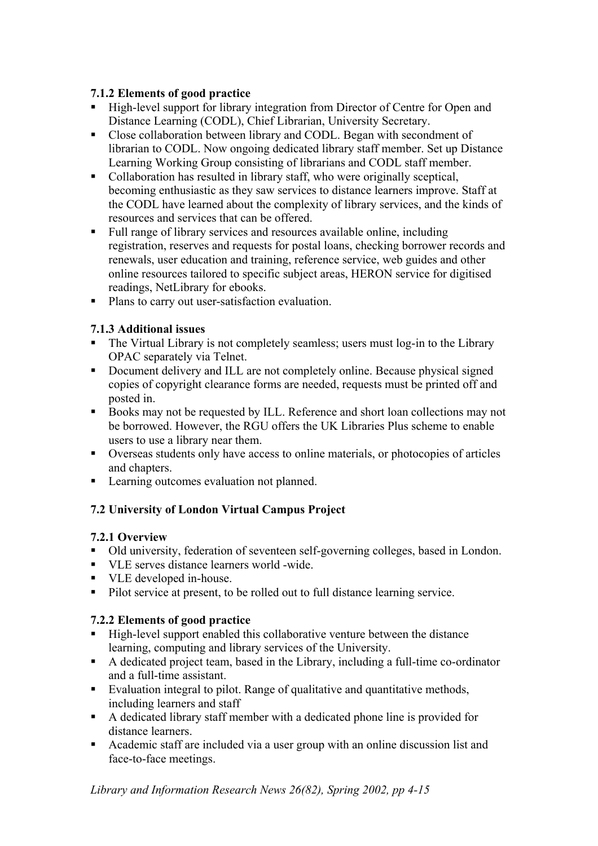# **7.1.2 Elements of good practice**

- High-level support for library integration from Director of Centre for Open and Distance Learning (CODL), Chief Librarian, University Secretary.
- Close collaboration between library and CODL. Began with secondment of librarian to CODL. Now ongoing dedicated library staff member. Set up Distance Learning Working Group consisting of librarians and CODL staff member.
- Collaboration has resulted in library staff, who were originally sceptical, becoming enthusiastic as they saw services to distance learners improve. Staff at the CODL have learned about the complexity of library services, and the kinds of resources and services that can be offered.
- Full range of library services and resources available online, including registration, reserves and requests for postal loans, checking borrower records and renewals, user education and training, reference service, web guides and other online resources tailored to specific subject areas, HERON service for digitised readings, NetLibrary for ebooks.
- Plans to carry out user-satisfaction evaluation.

# **7.1.3 Additional issues**

- The Virtual Library is not completely seamless; users must log-in to the Library OPAC separately via Telnet.
- Document delivery and ILL are not completely online. Because physical signed copies of copyright clearance forms are needed, requests must be printed off and posted in.
- Books may not be requested by ILL. Reference and short loan collections may not be borrowed. However, the RGU offers the UK Libraries Plus scheme to enable users to use a library near them.
- Overseas students only have access to online materials, or photocopies of articles and chapters.
- Learning outcomes evaluation not planned.

# **7.2 University of London Virtual Campus Project**

# **7.2.1 Overview**

- Old university, federation of seventeen self-governing colleges, based in London.
- VLE serves distance learners world -wide.
- VLE developed in-house.
- Pilot service at present, to be rolled out to full distance learning service.

# **7.2.2 Elements of good practice**

- High-level support enabled this collaborative venture between the distance learning, computing and library services of the University.
- A dedicated project team, based in the Library, including a full-time co-ordinator and a full-time assistant.
- Evaluation integral to pilot. Range of qualitative and quantitative methods, including learners and staff
- A dedicated library staff member with a dedicated phone line is provided for distance learners.
- Academic staff are included via a user group with an online discussion list and face-to-face meetings.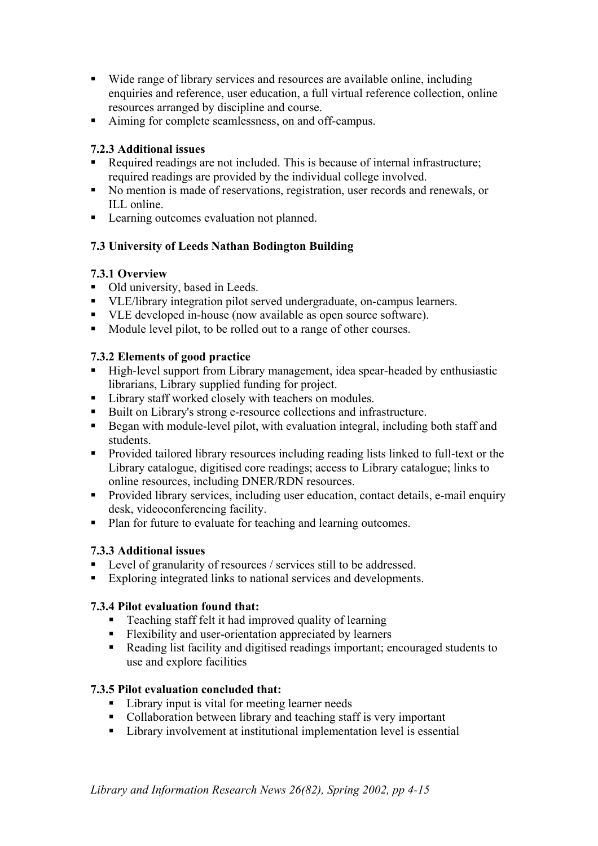- Wide range of library services and resources are available online, including enquiries and reference, user education, a full virtual reference collection, online resources arranged by discipline and course.
- Aiming for complete seamlessness, on and off-campus.

# **7.2.3 Additional issues**

- Required readings are not included. This is because of internal infrastructure; required readings are provided by the individual college involved.
- No mention is made of reservations, registration, user records and renewals, or ILL online.
- **Learning outcomes evaluation not planned.**

# **7.3 University of Leeds Nathan Bodington Building**

## **7.3.1 Overview**

- Old university, based in Leeds.
- VLE/library integration pilot served undergraduate, on-campus learners.
- ULE developed in-house (now available as open source software).
- Module level pilot, to be rolled out to a range of other courses.

# **7.3.2 Elements of good practice**

- High-level support from Library management, idea spear-headed by enthusiastic librarians, Library supplied funding for project.
- **Library staff worked closely with teachers on modules.**
- Built on Library's strong e-resource collections and infrastructure.
- Began with module-level pilot, with evaluation integral, including both staff and students.
- **Provided tailored library resources including reading lists linked to full-text or the** Library catalogue, digitised core readings; access to Library catalogue; links to online resources, including DNER/RDN resources.
- Provided library services, including user education, contact details, e-mail enquiry desk, videoconferencing facility.
- Plan for future to evaluate for teaching and learning outcomes.

# **7.3.3 Additional issues**

- Level of granularity of resources / services still to be addressed.
- Exploring integrated links to national services and developments.

# **7.3.4 Pilot evaluation found that:**

- Teaching staff felt it had improved quality of learning
- Flexibility and user-orientation appreciated by learners
- Reading list facility and digitised readings important; encouraged students to use and explore facilities

# **7.3.5 Pilot evaluation concluded that:**

- Library input is vital for meeting learner needs
- Collaboration between library and teaching staff is very important
- Library involvement at institutional implementation level is essential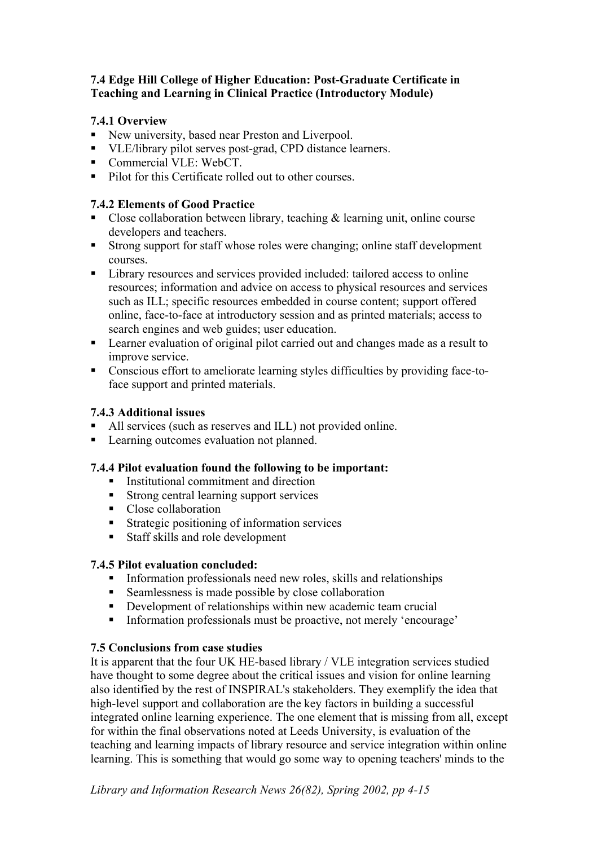### **7.4 Edge Hill College of Higher Education: Post-Graduate Certificate in Teaching and Learning in Clinical Practice (Introductory Module)**

## **7.4.1 Overview**

- New university, based near Preston and Liverpool.
- VLE/library pilot serves post-grad, CPD distance learners.
- Commercial VLE: WebCT.
- Pilot for this Certificate rolled out to other courses.

## **7.4.2 Elements of Good Practice**

- Close collaboration between library, teaching  $\&$  learning unit, online course developers and teachers.
- Strong support for staff whose roles were changing; online staff development courses.
- Library resources and services provided included: tailored access to online resources; information and advice on access to physical resources and services such as ILL; specific resources embedded in course content; support offered online, face-to-face at introductory session and as printed materials; access to search engines and web guides; user education.
- Learner evaluation of original pilot carried out and changes made as a result to improve service.
- Conscious effort to ameliorate learning styles difficulties by providing face-toface support and printed materials.

# **7.4.3 Additional issues**

- All services (such as reserves and ILL) not provided online.
- **Learning outcomes evaluation not planned.**

## **7.4.4 Pilot evaluation found the following to be important:**

- Institutional commitment and direction
- Strong central learning support services
- Close collaboration
- Strategic positioning of information services
- Staff skills and role development

## **7.4.5 Pilot evaluation concluded:**

- $\blacksquare$  Information professionals need new roles, skills and relationships
- Seamlessness is made possible by close collaboration
- Development of relationships within new academic team crucial
- Information professionals must be proactive, not merely 'encourage'

## **7.5 Conclusions from case studies**

It is apparent that the four UK HE-based library / VLE integration services studied have thought to some degree about the critical issues and vision for online learning also identified by the rest of INSPIRAL's stakeholders. They exemplify the idea that high-level support and collaboration are the key factors in building a successful integrated online learning experience. The one element that is missing from all, except for within the final observations noted at Leeds University, is evaluation of the teaching and learning impacts of library resource and service integration within online learning. This is something that would go some way to opening teachers' minds to the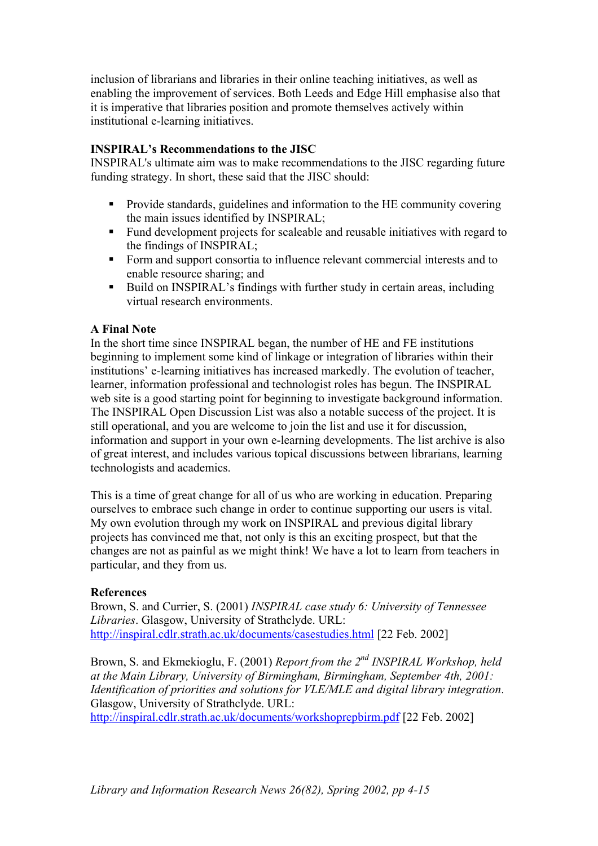inclusion of librarians and libraries in their online teaching initiatives, as well as enabling the improvement of services. Both Leeds and Edge Hill emphasise also that it is imperative that libraries position and promote themselves actively within institutional e-learning initiatives.

### **INSPIRAL's Recommendations to the JISC**

INSPIRAL's ultimate aim was to make recommendations to the JISC regarding future funding strategy. In short, these said that the JISC should:

- Provide standards, guidelines and information to the HE community covering the main issues identified by INSPIRAL;
- Fund development projects for scaleable and reusable initiatives with regard to the findings of INSPIRAL;
- Form and support consortia to influence relevant commercial interests and to enable resource sharing; and
- Build on INSPIRAL's findings with further study in certain areas, including virtual research environments.

### **A Final Note**

In the short time since INSPIRAL began, the number of HE and FE institutions beginning to implement some kind of linkage or integration of libraries within their institutions' e-learning initiatives has increased markedly. The evolution of teacher, learner, information professional and technologist roles has begun. The INSPIRAL web site is a good starting point for beginning to investigate background information. The INSPIRAL Open Discussion List was also a notable success of the project. It is still operational, and you are welcome to join the list and use it for discussion, information and support in your own e-learning developments. The list archive is also of great interest, and includes various topical discussions between librarians, learning technologists and academics.

This is a time of great change for all of us who are working in education. Preparing ourselves to embrace such change in order to continue supporting our users is vital. My own evolution through my work on INSPIRAL and previous digital library projects has convinced me that, not only is this an exciting prospect, but that the changes are not as painful as we might think! We have a lot to learn from teachers in particular, and they from us.

### **References**

Brown, S. and Currier, S. (2001) *INSPIRAL case study 6: University of Tennessee Libraries*. Glasgow, University of Strathclyde. URL: <http://inspiral.cdlr.strath.ac.uk/documents/casestudies.html> [22 Feb. 2002]

Brown, S. and Ekmekioglu, F. (2001) *Report from the 2nd INSPIRAL Workshop, held at the Main Library, University of Birmingham, Birmingham, September 4th, 2001: Identification of priorities and solutions for VLE/MLE and digital library integration*. Glasgow, University of Strathclyde. URL:

<http://inspiral.cdlr.strath.ac.uk/documents/workshoprepbirm.pdf>[22 Feb. 2002]